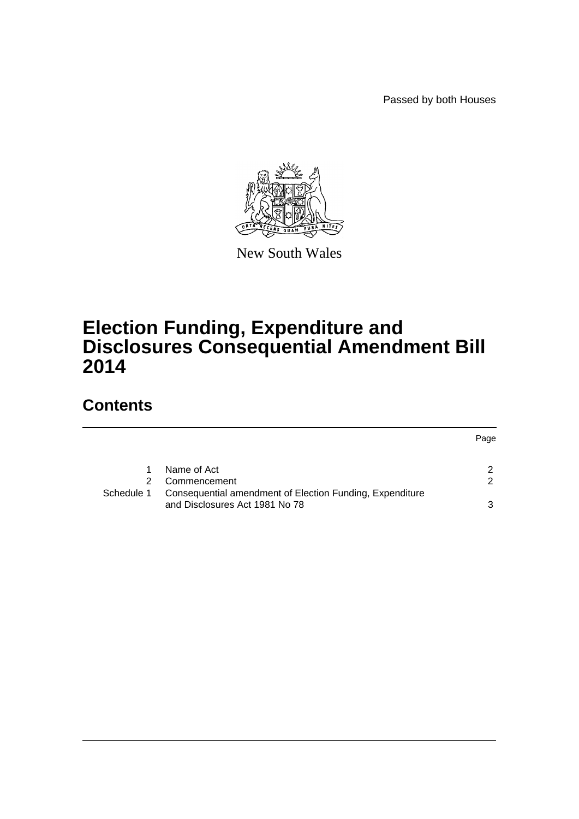Passed by both Houses

Page



New South Wales

# **Election Funding, Expenditure and Disclosures Consequential Amendment Bill 2014**

# **Contents**

|            | Name of Act                                              |               |
|------------|----------------------------------------------------------|---------------|
|            | Commencement                                             | $\mathcal{P}$ |
| Schedule 1 | Consequential amendment of Election Funding, Expenditure |               |
|            | and Disclosures Act 1981 No 78                           | ર             |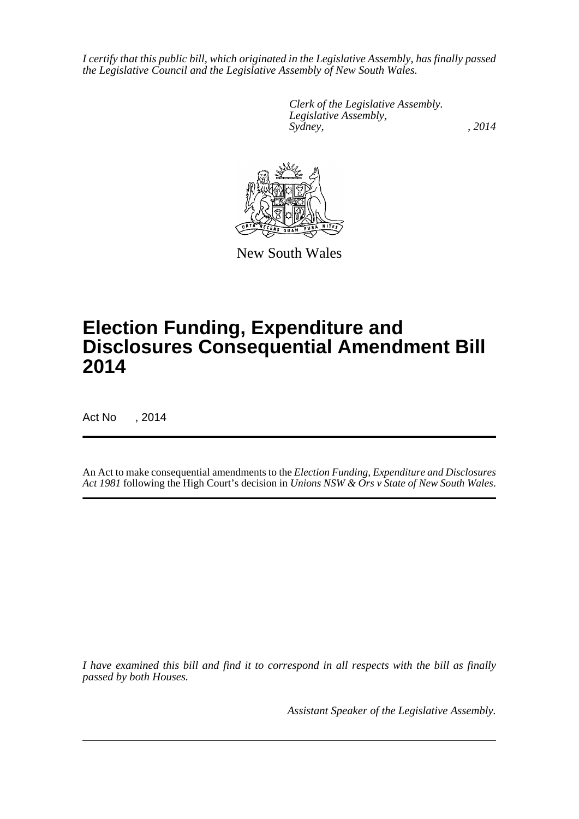*I certify that this public bill, which originated in the Legislative Assembly, has finally passed the Legislative Council and the Legislative Assembly of New South Wales.*

> *Clerk of the Legislative Assembly. Legislative Assembly, Sydney,* , 2014



New South Wales

# **Election Funding, Expenditure and Disclosures Consequential Amendment Bill 2014**

Act No , 2014

An Act to make consequential amendments to the *Election Funding, Expenditure and Disclosures Act 1981* following the High Court's decision in *Unions NSW & Ors v State of New South Wales*.

*I have examined this bill and find it to correspond in all respects with the bill as finally passed by both Houses.*

*Assistant Speaker of the Legislative Assembly.*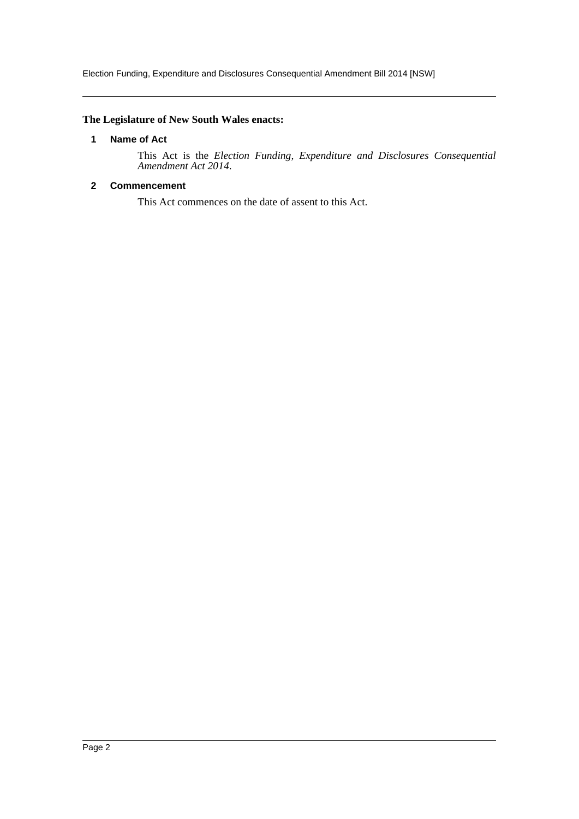# <span id="page-2-0"></span>**The Legislature of New South Wales enacts:**

#### **1 Name of Act**

This Act is the *Election Funding, Expenditure and Disclosures Consequential Amendment Act 2014*.

### <span id="page-2-1"></span>**2 Commencement**

This Act commences on the date of assent to this Act.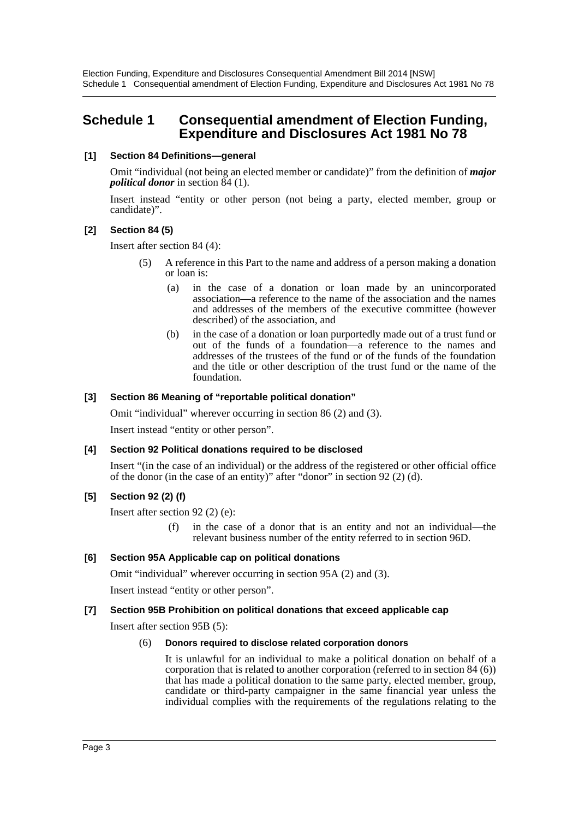# <span id="page-3-0"></span>**Schedule 1 Consequential amendment of Election Funding, Expenditure and Disclosures Act 1981 No 78**

### **[1] Section 84 Definitions—general**

Omit "individual (not being an elected member or candidate)" from the definition of *major political donor* in section 84 (1).

Insert instead "entity or other person (not being a party, elected member, group or candidate)".

#### **[2] Section 84 (5)**

Insert after section 84 (4):

- (5) A reference in this Part to the name and address of a person making a donation or loan is:
	- (a) in the case of a donation or loan made by an unincorporated association—a reference to the name of the association and the names and addresses of the members of the executive committee (however described) of the association, and
	- (b) in the case of a donation or loan purportedly made out of a trust fund or out of the funds of a foundation—a reference to the names and addresses of the trustees of the fund or of the funds of the foundation and the title or other description of the trust fund or the name of the foundation.

#### **[3] Section 86 Meaning of "reportable political donation"**

Omit "individual" wherever occurring in section 86 (2) and (3).

Insert instead "entity or other person".

#### **[4] Section 92 Political donations required to be disclosed**

Insert "(in the case of an individual) or the address of the registered or other official office of the donor (in the case of an entity)" after "donor" in section 92 (2) (d).

# **[5] Section 92 (2) (f)**

Insert after section 92 (2) (e):

(f) in the case of a donor that is an entity and not an individual—the relevant business number of the entity referred to in section 96D.

# **[6] Section 95A Applicable cap on political donations**

Omit "individual" wherever occurring in section 95A (2) and (3).

Insert instead "entity or other person".

# **[7] Section 95B Prohibition on political donations that exceed applicable cap**

Insert after section 95B (5):

#### (6) **Donors required to disclose related corporation donors**

It is unlawful for an individual to make a political donation on behalf of a corporation that is related to another corporation (referred to in section 84 (6)) that has made a political donation to the same party, elected member, group, candidate or third-party campaigner in the same financial year unless the individual complies with the requirements of the regulations relating to the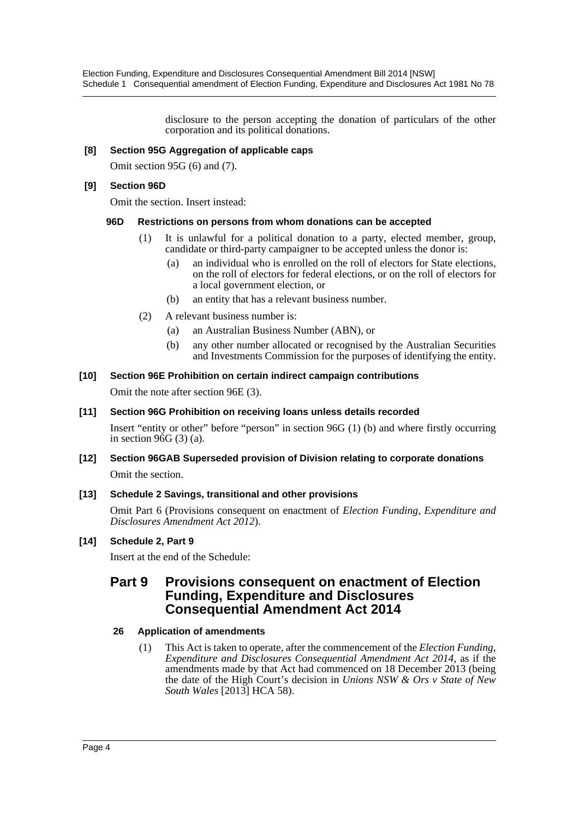disclosure to the person accepting the donation of particulars of the other corporation and its political donations.

### **[8] Section 95G Aggregation of applicable caps**

Omit section 95G (6) and (7).

#### **[9] Section 96D**

Omit the section. Insert instead:

#### **96D Restrictions on persons from whom donations can be accepted**

- (1) It is unlawful for a political donation to a party, elected member, group, candidate or third-party campaigner to be accepted unless the donor is:
	- (a) an individual who is enrolled on the roll of electors for State elections, on the roll of electors for federal elections, or on the roll of electors for a local government election, or
	- (b) an entity that has a relevant business number.
- (2) A relevant business number is:
	- (a) an Australian Business Number (ABN), or
	- (b) any other number allocated or recognised by the Australian Securities and Investments Commission for the purposes of identifying the entity.

#### **[10] Section 96E Prohibition on certain indirect campaign contributions**

Omit the note after section 96E (3).

#### **[11] Section 96G Prohibition on receiving loans unless details recorded**

Insert "entity or other" before "person" in section 96G (1) (b) and where firstly occurring in section 96G (3) (a).

**[12] Section 96GAB Superseded provision of Division relating to corporate donations** Omit the section.

#### **[13] Schedule 2 Savings, transitional and other provisions**

Omit Part 6 (Provisions consequent on enactment of *Election Funding, Expenditure and Disclosures Amendment Act 2012*).

# **[14] Schedule 2, Part 9**

Insert at the end of the Schedule:

# **Part 9 Provisions consequent on enactment of Election Funding, Expenditure and Disclosures Consequential Amendment Act 2014**

#### **26 Application of amendments**

(1) This Act is taken to operate, after the commencement of the *Election Funding, Expenditure and Disclosures Consequential Amendment Act 2014*, as if the amendments made by that Act had commenced on 18 December 2013 (being the date of the High Court's decision in *Unions NSW & Ors v State of New South Wales* [2013] HCA 58).